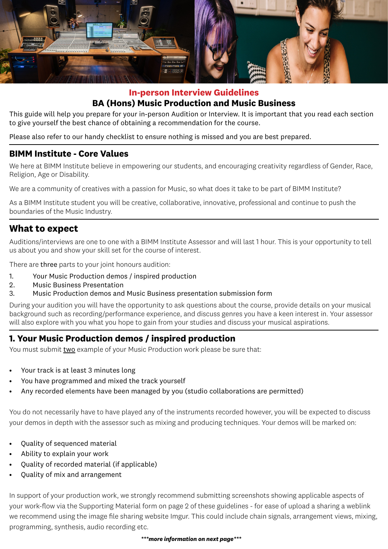

# **In-person Interview Guidelines BA (Hons) Music Production and Music Business**

This guide will help you prepare for your in-person Audition or Interview. It is important that you read each section to give yourself the best chance of obtaining a recommendation for the course.

Please also refer to our handy checklist to ensure nothing is missed and you are best prepared.

### **BIMM Institute - Core Values**

We here at BIMM Institute believe in empowering our students, and encouraging creativity regardless of Gender, Race, Religion, Age or Disability.

We are a community of creatives with a passion for Music, so what does it take to be part of BIMM Institute?

As a BIMM Institute student you will be creative, collaborative, innovative, professional and continue to push the boundaries of the Music Industry.

# **What to expect**

Auditions/interviews are one to one with a BIMM Institute Assessor and will last 1 hour. This is your opportunity to tell us about you and show your skill set for the course of interest.

There are three parts to your joint honours audition:

- 1. Your Music Production demos / inspired production
- 2. Music Business Presentation
- 3. Music Production demos and Music Business presentation submission form

During your audition you will have the opportunity to ask questions about the course, provide details on your musical background such as recording/performance experience, and discuss genres you have a keen interest in. Your assessor will also explore with you what you hope to gain from your studies and discuss your musical aspirations.

# **1. Your Music Production demos / inspired production**

You must submit two example of your Music Production work please be sure that:

- Your track is at least 3 minutes long
- You have programmed and mixed the track yourself
- Any recorded elements have been managed by you (studio collaborations are permitted)

You do not necessarily have to have played any of the instruments recorded however, you will be expected to discuss your demos in depth with the assessor such as mixing and producing techniques. Your demos will be marked on:

- Quality of sequenced material
- Ability to explain your work
- Quality of recorded material (if applicable)
- Quality of mix and arrangement

In support of your production work, we strongly recommend submitting screenshots showing applicable aspects of your work-flow via the Supporting Material form on page 2 of these guidelines - for ease of upload a sharing a weblink we recommend using the image file sharing website Imgur. This could include chain signals, arrangement views, mixing, programming, synthesis, audio recording etc.

#### *\*\*\*more information on next page\*\*\**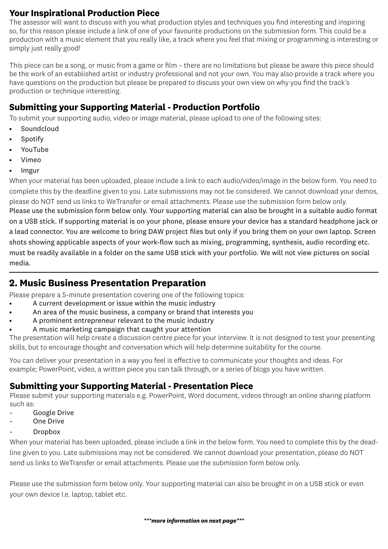## **Your Inspirational Production Piece**

The assessor will want to discuss with you what production styles and techniques you find interesting and inspiring so, for this reason please include a link of one of your favourite productions on the submission form. This could be a production with a music element that you really like, a track where you feel that mixing or programming is interesting or simply just really good!

This piece can be a song, or music from a game or film – there are no limitations but please be aware this piece should be the work of an established artist or industry professional and not your own. You may also provide a track where you have questions on the production but please be prepared to discuss your own view on why you find the track's production or technique interesting.

## **Submitting your Supporting Material - Production Portfolio**

To submit your supporting audio, video or image material, please upload to one of the following sites:

- **Soundcloud**
- **Spotify**
- YouTube
- Vimeo
- Imgur

When your material has been uploaded, please include a link to each audio/video/image in the below form. You need to complete this by the deadline given to you. Late submissions may not be considered. We cannot download your demos, please do NOT send us links to WeTransfer or email attachments. Please use the submission form below only. Please use the submission form below only. Your supporting material can also be brought in a suitable audio format on a USB stick. If supporting material is on your phone, please ensure your device has a standard headphone jack or a lead connector. You are welcome to bring DAW project files but only if you bring them on your own laptop. Screen shots showing applicable aspects of your work-flow such as mixing, programming, synthesis, audio recording etc. must be readily available in a folder on the same USB stick with your portfolio. We will not view pictures on social media.

# **2. Music Business Presentation Preparation**

Please prepare a 5-minute presentation covering one of the following topics:

- A current development or issue within the music industry
- An area of the music business, a company or brand that interests you
- A prominent entrepreneur relevant to the music industry
- A music marketing campaign that caught your attention

The presentation will help create a discussion centre piece for your interview. It is not designed to test your presenting skills, but to encourage thought and conversation which will help determine suitability for the course.

You can deliver your presentation in a way you feel is effective to communicate your thoughts and ideas. For example; PowerPoint, video, a written piece you can talk through, or a series of blogs you have written.

# **Submitting your Supporting Material - Presentation Piece**

Please submit your supporting materials e.g. PowerPoint, Word document, videos through an online sharing platform such as:

- Google Drive
- One Drive
- Dropbox

When your material has been uploaded, please include a link in the below form. You need to complete this by the deadline given to you. Late submissions may not be considered. We cannot download your presentation, please do NOT send us links to WeTransfer or email attachments. Please use the submission form below only.

Please use the submission form below only. Your supporting material can also be brought in on a USB stick or even your own device I.e. laptop, tablet etc.